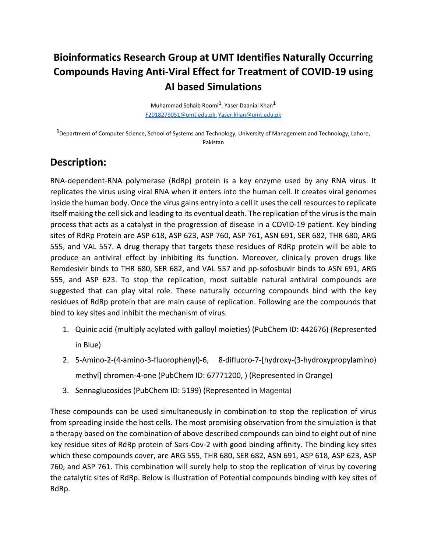## **Bioinformatics Research Group at UMT Identifies Naturally Occurring Compounds Having Anti‐Viral Effect for Treatment of COVID‐19 using AI based Simulations**

Muhammad Sohaib Roomi**1**, Yaser Daanial Khan**<sup>1</sup>** F2018279051@umt.edu.pk, Yaser.khan@umt.edu.pk

**1** Department of Computer Science, School of Systems and Technology, University of Management and Technology, Lahore, Pakistan

## **Description:**

RNA‐dependent‐RNA polymerase (RdRp) protein is a key enzyme used by any RNA virus. It replicates the virus using viral RNA when it enters into the human cell. It creates viral genomes inside the human body. Once the virus gains entry into a cell it uses the cell resources to replicate itself making the cell sick and leading to its eventual death. The replication of the virus is the main process that acts as a catalyst in the progression of disease in a COVID‐19 patient. Key binding sites of RdRp Protein are ASP 618, ASP 623, ASP 760, ASP 761, ASN 691, SER 682, THR 680, ARG 555, and VAL 557. A drug therapy that targets these residues of RdRp protein will be able to produce an antiviral effect by inhibiting its function. Moreover, clinically proven drugs like Remdesivir binds to THR 680, SER 682, and VAL 557 and pp‐sofosbuvir binds to ASN 691, ARG 555, and ASP 623. To stop the replication, most suitable natural antiviral compounds are suggested that can play vital role. These naturally occurring compounds bind with the key residues of RdRp protein that are main cause of replication. Following are the compounds that bind to key sites and inhibit the mechanism of virus.

- 1. Quinic acid (multiply acylated with galloyl moieties) (PubChem ID: 442676) (Represented in Blue)
- 2. 5‐Amino‐2‐(4‐amino‐3‐fluorophenyl)‐6, 8‐difluoro‐7‐[hydroxy‐(3‐hydroxypropylamino) methyl] chromen‐4‐one (PubChem ID: 67771200, ) (Represented in Orange)
- 3. Sennaglucosides (PubChem ID: 5199) (Represented in Magenta)

These compounds can be used simultaneously in combination to stop the replication of virus from spreading inside the host cells. The most promising observation from the simulation is that a therapy based on the combination of above described compounds can bind to eight out of nine key residue sites of RdRp protein of Sars-Cov-2 with good binding affinity. The binding key sites which these compounds cover, are ARG 555, THR 680, SER 682, ASN 691, ASP 618, ASP 623, ASP 760, and ASP 761. This combination will surely help to stop the replication of virus by covering the catalytic sites of RdRp. Below is illustration of Potential compounds binding with key sites of RdRp.